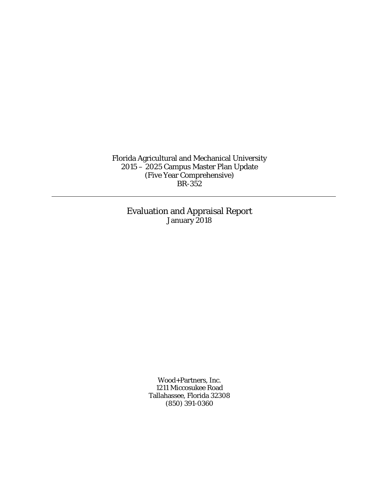Florida Agricultural and Mechanical University 2015 – 2025 Campus Master Plan Update (Five Year Comprehensive) BR-352

> Evaluation and Appraisal Report January 2018

> > Wood+Partners, Inc. 1211 Miccosukee Road Tallahassee, Florida 32308 (850) 391-0360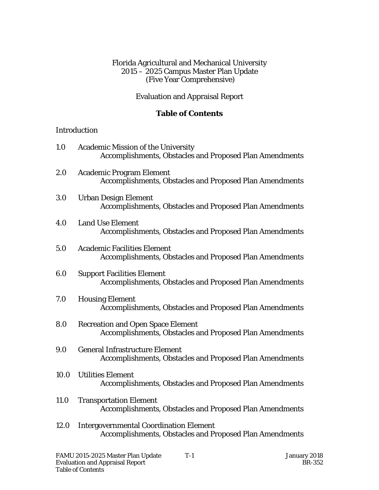### Florida Agricultural and Mechanical University 2015 – 2025 Campus Master Plan Update (Five Year Comprehensive)

## Evaluation and Appraisal Report

# **Table of Contents**

### Introduction

| 1.0         | <b>Academic Mission of the University</b><br><b>Accomplishments, Obstacles and Proposed Plan Amendments</b>     |
|-------------|-----------------------------------------------------------------------------------------------------------------|
| 2.0         | <b>Academic Program Element</b><br><b>Accomplishments, Obstacles and Proposed Plan Amendments</b>               |
| 3.0         | <b>Urban Design Element</b><br><b>Accomplishments, Obstacles and Proposed Plan Amendments</b>                   |
| 4.0         | <b>Land Use Element</b><br><b>Accomplishments, Obstacles and Proposed Plan Amendments</b>                       |
| 5.0         | <b>Academic Facilities Element</b><br><b>Accomplishments, Obstacles and Proposed Plan Amendments</b>            |
| 6.0         | <b>Support Facilities Element</b><br><b>Accomplishments, Obstacles and Proposed Plan Amendments</b>             |
| 7.0         | <b>Housing Element</b><br><b>Accomplishments, Obstacles and Proposed Plan Amendments</b>                        |
| 8.0         | <b>Recreation and Open Space Element</b><br><b>Accomplishments, Obstacles and Proposed Plan Amendments</b>      |
| 9.0         | <b>General Infrastructure Element</b><br><b>Accomplishments, Obstacles and Proposed Plan Amendments</b>         |
| 10.0        | <b>Utilities Element</b><br><b>Accomplishments, Obstacles and Proposed Plan Amendments</b>                      |
| <b>11.0</b> | <b>Transportation Element</b><br><b>Accomplishments, Obstacles and Proposed Plan Amendments</b>                 |
| 12.0        | <b>Intergovernmental Coordination Element</b><br><b>Accomplishments, Obstacles and Proposed Plan Amendments</b> |
|             |                                                                                                                 |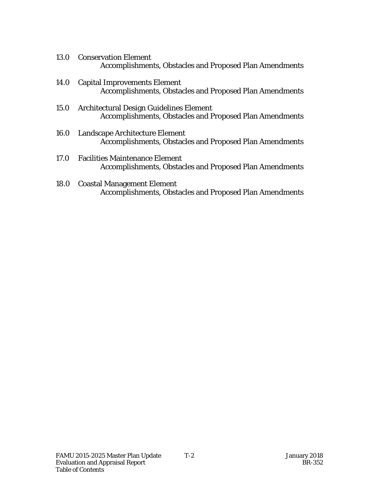- 13.0 Conservation Element Accomplishments, Obstacles and Proposed Plan Amendments
- 14.0 Capital Improvements Element Accomplishments, Obstacles and Proposed Plan Amendments
- 15.0 Architectural Design Guidelines Element Accomplishments, Obstacles and Proposed Plan Amendments
- 16.0 Landscape Architecture Element Accomplishments, Obstacles and Proposed Plan Amendments
- 17.0 Facilities Maintenance Element Accomplishments, Obstacles and Proposed Plan Amendments
- 18.0 Coastal Management Element Accomplishments, Obstacles and Proposed Plan Amendments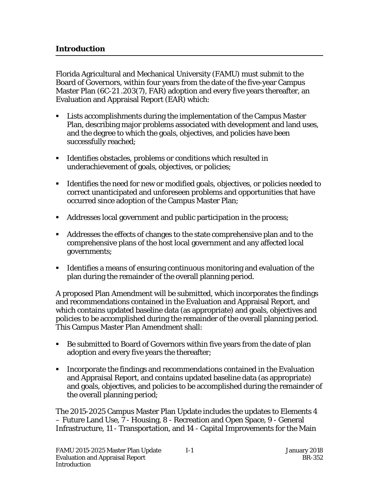j

Florida Agricultural and Mechanical University (FAMU) must submit to the Board of Governors, within four years from the date of the five-year Campus Master Plan (6C-21 .203(7), FAR) adoption and every five years thereafter, an Evaluation and Appraisal Report (EAR) which:

- Lists accomplishments during the implementation of the Campus Master Plan, describing major problems associated with development and land uses, and the degree to which the goals, objectives, and policies have been successfully reached;
- Identifies obstacles, problems or conditions which resulted in underachievement of goals, objectives, or policies;
- Identifies the need for new or modified goals, objectives, or policies needed to correct unanticipated and unforeseen problems and opportunities that have occurred since adoption of the Campus Master Plan;
- Addresses local government and public participation in the process;
- Addresses the effects of changes to the state comprehensive plan and to the comprehensive plans of the host local government and any affected local governments;
- Identifies a means of ensuring continuous monitoring and evaluation of the plan during the remainder of the overall planning period.

A proposed Plan Amendment will be submitted, which incorporates the findings and recommendations contained in the Evaluation and Appraisal Report, and which contains updated baseline data (as appropriate) and goals, objectives and policies to be accomplished during the remainder of the overall planning period. This Campus Master Plan Amendment shall:

- Be submitted to Board of Governors within five years from the date of plan adoption and every five years the thereafter;
- **IF Incorporate the findings and recommendations contained in the Evaluation** and Appraisal Report, and contains updated baseline data (as appropriate) and goals, objectives, and policies to be accomplished during the remainder of the overall planning period;

The 2015-2025 Campus Master Plan Update includes the updates to Elements 4 – Future Land Use, 7 - Housing, 8 - Recreation and Open Space, 9 - General Infrastructure, 11 - Transportation, and 14 - Capital Improvements for the Main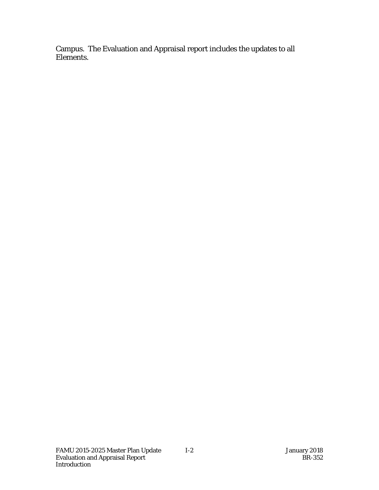Campus. The Evaluation and Appraisal report includes the updates to all Elements.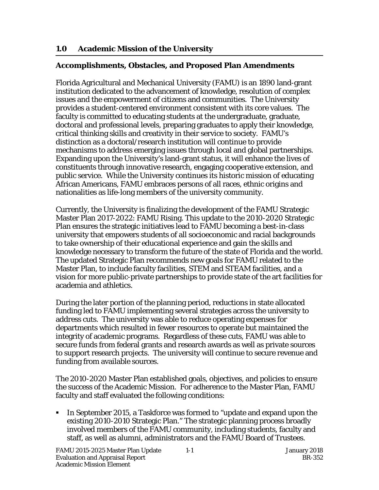## **1.0 Academic Mission of the University**

### j **Accomplishments, Obstacles, and Proposed Plan Amendments**

Florida Agricultural and Mechanical University (FAMU) is an 1890 land-grant institution dedicated to the advancement of knowledge, resolution of complex issues and the empowerment of citizens and communities. The University provides a student-centered environment consistent with its core values. The faculty is committed to educating students at the undergraduate, graduate, doctoral and professional levels, preparing graduates to apply their knowledge, critical thinking skills and creativity in their service to society. FAMU's distinction as a doctoral/research institution will continue to provide mechanisms to address emerging issues through local and global partnerships. Expanding upon the University's land-grant status, it will enhance the lives of constituents through innovative research, engaging cooperative extension, and public service. While the University continues its historic mission of educating African Americans, FAMU embraces persons of all races, ethnic origins and nationalities as life-long members of the university community.

Currently, the University is finalizing the development of the FAMU Strategic Master Plan 2017-2022: FAMU Rising. This update to the 2010-2020 Strategic Plan ensures the strategic initiatives lead to FAMU becoming a best-in-class university that empowers students of all socioeconomic and racial backgrounds to take ownership of their educational experience and gain the skills and knowledge necessary to transform the future of the state of Florida and the world. The updated Strategic Plan recommends new goals for FAMU related to the Master Plan, to include faculty facilities, STEM and STEAM facilities, and a vision for more public-private partnerships to provide state of the art facilities for academia and athletics.

During the later portion of the planning period, reductions in state allocated funding led to FAMU implementing several strategies across the university to address cuts. The university was able to reduce operating expenses for departments which resulted in fewer resources to operate but maintained the integrity of academic programs. Regardless of these cuts, FAMU was able to secure funds from federal grants and research awards as well as private sources to support research projects. The university will continue to secure revenue and funding from available sources.

The 2010-2020 Master Plan established goals, objectives, and policies to ensure the success of the Academic Mission. For adherence to the Master Plan, FAMU faculty and staff evaluated the following conditions:

 In September 2015, a Taskforce was formed to "update and expand upon the existing 2010-2010 Strategic Plan." The strategic planning process broadly involved members of the FAMU community, including students, faculty and staff, as well as alumni, administrators and the FAMU Board of Trustees.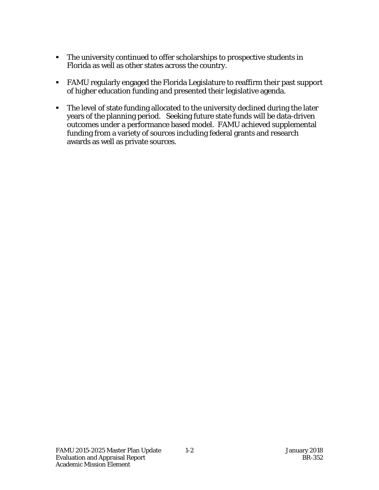- The university continued to offer scholarships to prospective students in Florida as well as other states across the country.
- FAMU regularly engaged the Florida Legislature to reaffirm their past support of higher education funding and presented their legislative agenda.
- The level of state funding allocated to the university declined during the later years of the planning period. Seeking future state funds will be data-driven outcomes under a performance based model. FAMU achieved supplemental funding from a variety of sources including federal grants and research awards as well as private sources.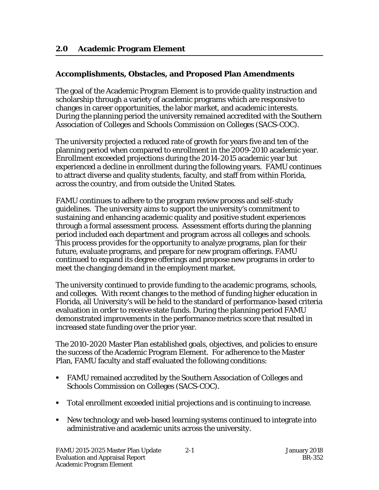j

## **Accomplishments, Obstacles, and Proposed Plan Amendments**

The goal of the Academic Program Element is to provide quality instruction and scholarship through a variety of academic programs which are responsive to changes in career opportunities, the labor market, and academic interests. During the planning period the university remained accredited with the Southern Association of Colleges and Schools Commission on Colleges (SACS-COC).

The university projected a reduced rate of growth for years five and ten of the planning period when compared to enrollment in the 2009-2010 academic year. Enrollment exceeded projections during the 2014-2015 academic year but experienced a decline in enrollment during the following years. FAMU continues to attract diverse and quality students, faculty, and staff from within Florida, across the country, and from outside the United States.

FAMU continues to adhere to the program review process and self-study guidelines. The university aims to support the university's commitment to sustaining and enhancing academic quality and positive student experiences through a formal assessment process. Assessment efforts during the planning period included each department and program across all colleges and schools. This process provides for the opportunity to analyze programs, plan for their future, evaluate programs, and prepare for new program offerings. FAMU continued to expand its degree offerings and propose new programs in order to meet the changing demand in the employment market.

The university continued to provide funding to the academic programs, schools, and colleges. With recent changes to the method of funding higher education in Florida, all University's will be held to the standard of performance-based criteria evaluation in order to receive state funds. During the planning period FAMU demonstrated improvements in the performance metrics score that resulted in increased state funding over the prior year.

The 2010-2020 Master Plan established goals, objectives, and policies to ensure the success of the Academic Program Element. For adherence to the Master Plan, FAMU faculty and staff evaluated the following conditions:

- FAMU remained accredited by the Southern Association of Colleges and Schools Commission on Colleges (SACS-COC).
- Total enrollment exceeded initial projections and is continuing to increase.
- New technology and web-based learning systems continued to integrate into administrative and academic units across the university.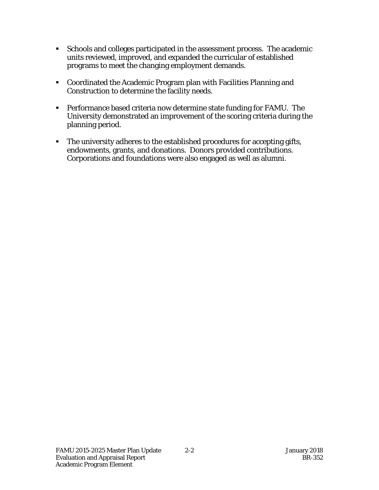- Schools and colleges participated in the assessment process. The academic units reviewed, improved, and expanded the curricular of established programs to meet the changing employment demands.
- Coordinated the Academic Program plan with Facilities Planning and Construction to determine the facility needs.
- Performance based criteria now determine state funding for FAMU. The University demonstrated an improvement of the scoring criteria during the planning period.
- The university adheres to the established procedures for accepting gifts, endowments, grants, and donations. Donors provided contributions. Corporations and foundations were also engaged as well as alumni.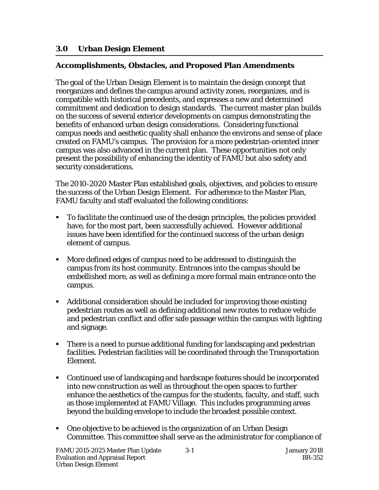## **3.0 Urban Design Element**

### **Accomplishments, Obstacles, and Proposed Plan Amendments**

The goal of the Urban Design Element is to maintain the design concept that reorganizes and defines the campus around activity zones, reorganizes, and is compatible with historical precedents, and expresses a new and determined commitment and dedication to design standards. The current master plan builds on the success of several exterior developments on campus demonstrating the benefits of enhanced urban design considerations. Considering functional campus needs and aesthetic quality shall enhance the environs and sense of place created on FAMU's campus. The provision for a more pedestrian-oriented inner campus was also advanced in the current plan. These opportunities not only present the possibility of enhancing the identity of FAMU but also safety and security considerations.

The 2010-2020 Master Plan established goals, objectives, and policies to ensure the success of the Urban Design Element. For adherence to the Master Plan, FAMU faculty and staff evaluated the following conditions:

- To facilitate the continued use of the design principles, the policies provided have, for the most part, been successfully achieved. However additional issues have been identified for the continued success of the urban design element of campus.
- More defined edges of campus need to be addressed to distinguish the campus from its host community. Entrances into the campus should be embellished more, as well as defining a more formal main entrance onto the campus.
- Additional consideration should be included for improving those existing pedestrian routes as well as defining additional new routes to reduce vehicle and pedestrian conflict and offer safe passage within the campus with lighting and signage.
- There is a need to pursue additional funding for landscaping and pedestrian facilities. Pedestrian facilities will be coordinated through the Transportation Element.
- Continued use of landscaping and hardscape features should be incorporated into new construction as well as throughout the open spaces to further enhance the aesthetics of the campus for the students, faculty, and staff, such as those implemented at FAMU Village. This includes programming areas beyond the building envelope to include the broadest possible context.
- One objective to be achieved is the organization of an Urban Design Committee. This committee shall serve as the administrator for compliance of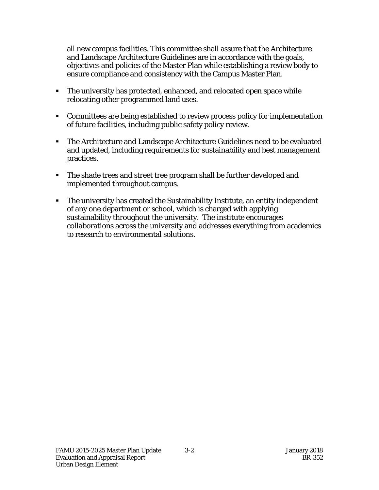all new campus facilities. This committee shall assure that the Architecture and Landscape Architecture Guidelines are in accordance with the goals, objectives and policies of the Master Plan while establishing a review body to ensure compliance and consistency with the Campus Master Plan.

- The university has protected, enhanced, and relocated open space while relocating other programmed land uses.
- Committees are being established to review process policy for implementation of future facilities, including public safety policy review.
- The Architecture and Landscape Architecture Guidelines need to be evaluated and updated, including requirements for sustainability and best management practices.
- The shade trees and street tree program shall be further developed and implemented throughout campus.
- The university has created the Sustainability Institute, an entity independent of any one department or school, which is charged with applying sustainability throughout the university. The institute encourages collaborations across the university and addresses everything from academics to research to environmental solutions.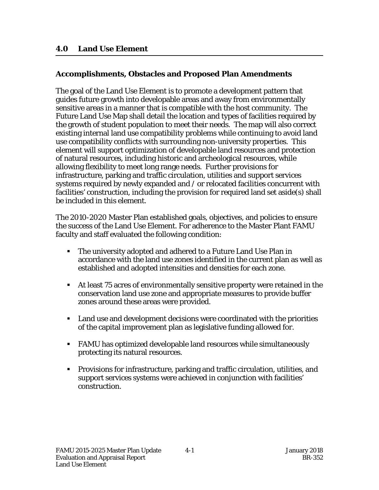### **4.0 Land Use Element**

j

## **Accomplishments, Obstacles and Proposed Plan Amendments**

The goal of the Land Use Element is to promote a development pattern that guides future growth into developable areas and away from environmentally sensitive areas in a manner that is compatible with the host community. The Future Land Use Map shall detail the location and types of facilities required by the growth of student population to meet their needs. The map will also correct existing internal land use compatibility problems while continuing to avoid land use compatibility conflicts with surrounding non-university properties. This element will support optimization of developable land resources and protection of natural resources, including historic and archeological resources, while allowing flexibility to meet long range needs. Further provisions for infrastructure, parking and traffic circulation, utilities and support services systems required by newly expanded and / or relocated facilities concurrent with facilities' construction, including the provision for required land set aside(s) shall be included in this element.

The 2010-2020 Master Plan established goals, objectives, and policies to ensure the success of the Land Use Element. For adherence to the Master Plant FAMU faculty and staff evaluated the following condition:

- The university adopted and adhered to a Future Land Use Plan in accordance with the land use zones identified in the current plan as well as established and adopted intensities and densities for each zone.
- At least 75 acres of environmentally sensitive property were retained in the conservation land use zone and appropriate measures to provide buffer zones around these areas were provided.
- Land use and development decisions were coordinated with the priorities of the capital improvement plan as legislative funding allowed for.
- FAMU has optimized developable land resources while simultaneously protecting its natural resources.
- Provisions for infrastructure, parking and traffic circulation, utilities, and support services systems were achieved in conjunction with facilities' construction.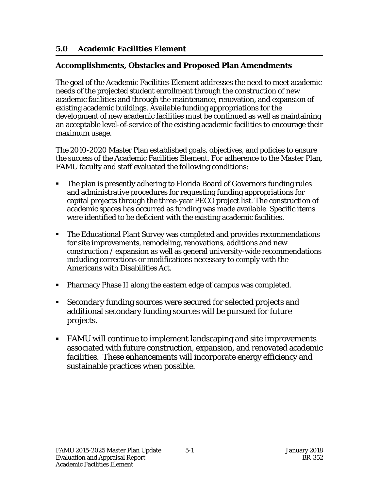## **5.0 Academic Facilities Element**

### j **Accomplishments, Obstacles and Proposed Plan Amendments**

The goal of the Academic Facilities Element addresses the need to meet academic needs of the projected student enrollment through the construction of new academic facilities and through the maintenance, renovation, and expansion of existing academic buildings. Available funding appropriations for the development of new academic facilities must be continued as well as maintaining an acceptable level-of-service of the existing academic facilities to encourage their maximum usage.

The 2010-2020 Master Plan established goals, objectives, and policies to ensure the success of the Academic Facilities Element. For adherence to the Master Plan, FAMU faculty and staff evaluated the following conditions:

- The plan is presently adhering to Florida Board of Governors funding rules and administrative procedures for requesting funding appropriations for capital projects through the three-year PECO project list. The construction of academic spaces has occurred as funding was made available. Specific items were identified to be deficient with the existing academic facilities.
- The Educational Plant Survey was completed and provides recommendations for site improvements, remodeling, renovations, additions and new construction / expansion as well as general university-wide recommendations including corrections or modifications necessary to comply with the Americans with Disabilities Act.
- Pharmacy Phase II along the eastern edge of campus was completed.
- Secondary funding sources were secured for selected projects and additional secondary funding sources will be pursued for future projects.
- FAMU will continue to implement landscaping and site improvements associated with future construction, expansion, and renovated academic facilities. These enhancements will incorporate energy efficiency and sustainable practices when possible.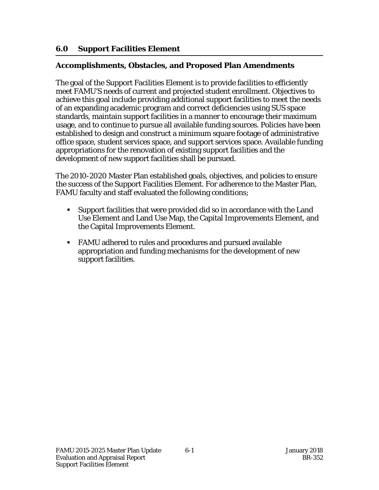## **6.0 Support Facilities Element**

### j **Accomplishments, Obstacles, and Proposed Plan Amendments**

The goal of the Support Facilities Element is to provide facilities to efficiently meet FAMU'S needs of current and projected student enrollment. Objectives to achieve this goal include providing additional support facilities to meet the needs of an expanding academic program and correct deficiencies using SUS space standards, maintain support facilities in a manner to encourage their maximum usage, and to continue to pursue all available funding sources. Policies have been established to design and construct a minimum square footage of administrative office space, student services space, and support services space. Available funding appropriations for the renovation of existing support facilities and the development of new support facilities shall be pursued.

The 2010-2020 Master Plan established goals, objectives, and policies to ensure the success of the Support Facilities Element. For adherence to the Master Plan, FAMU faculty and staff evaluated the following conditions;

- Support facilities that were provided did so in accordance with the Land Use Element and Land Use Map, the Capital Improvements Element, and the Capital Improvements Element.
- FAMU adhered to rules and procedures and pursued available appropriation and funding mechanisms for the development of new support facilities.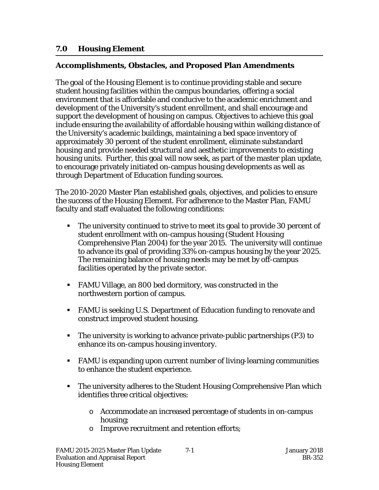## **7.0 Housing Element**

### j **Accomplishments, Obstacles, and Proposed Plan Amendments**

The goal of the Housing Element is to continue providing stable and secure student housing facilities within the campus boundaries, offering a social environment that is affordable and conducive to the academic enrichment and development of the University's student enrollment, and shall encourage and support the development of housing on campus. Objectives to achieve this goal include ensuring the availability of affordable housing within walking distance of the University's academic buildings, maintaining a bed space inventory of approximately 30 percent of the student enrollment, eliminate substandard housing and provide needed structural and aesthetic improvements to existing housing units. Further, this goal will now seek, as part of the master plan update, to encourage privately initiated on-campus housing developments as well as through Department of Education funding sources.

The 2010-2020 Master Plan established goals, objectives, and policies to ensure the success of the Housing Element. For adherence to the Master Plan, FAMU faculty and staff evaluated the following conditions:

- The university continued to strive to meet its goal to provide 30 percent of student enrollment with on-campus housing (Student Housing Comprehensive Plan 2004) for the year 2015. The university will continue to advance its goal of providing 33% on-campus housing by the year 2025. The remaining balance of housing needs may be met by off-campus facilities operated by the private sector.
- FAMU Village, an 800 bed dormitory, was constructed in the northwestern portion of campus.
- FAMU is seeking U.S. Department of Education funding to renovate and construct improved student housing.
- The university is working to advance private-public partnerships (P3) to enhance its on-campus housing inventory.
- FAMU is expanding upon current number of living-learning communities to enhance the student experience.
- **The university adheres to the Student Housing Comprehensive Plan which** identifies three critical objectives:
	- o Accommodate an increased percentage of students in on-campus housing;
	- o Improve recruitment and retention efforts;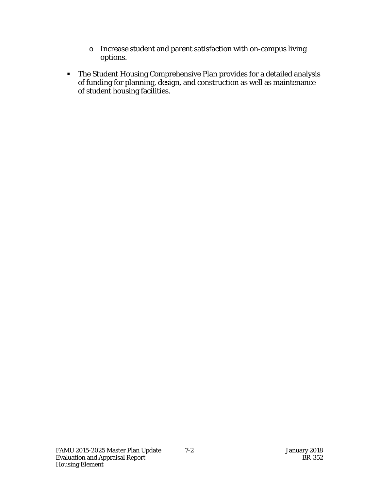- o Increase student and parent satisfaction with on-campus living options.
- The Student Housing Comprehensive Plan provides for a detailed analysis of funding for planning, design, and construction as well as maintenance of student housing facilities.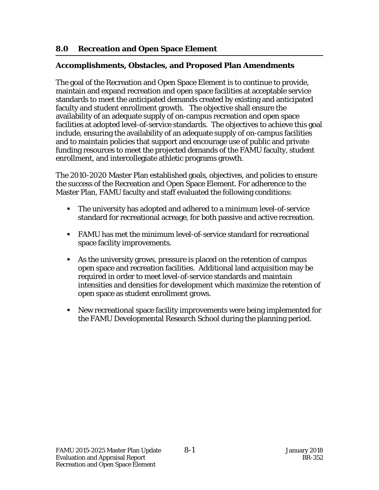## **8.0 Recreation and Open Space Element**

### j **Accomplishments, Obstacles, and Proposed Plan Amendments**

The goal of the Recreation and Open Space Element is to continue to provide, maintain and expand recreation and open space facilities at acceptable service standards to meet the anticipated demands created by existing and anticipated faculty and student enrollment growth. The objective shall ensure the availability of an adequate supply of on-campus recreation and open space facilities at adopted level-of-service standards. The objectives to achieve this goal include, ensuring the availability of an adequate supply of on-campus facilities and to maintain policies that support and encourage use of public and private funding resources to meet the projected demands of the FAMU faculty, student enrollment, and intercollegiate athletic programs growth.

The 2010-2020 Master Plan established goals, objectives, and policies to ensure the success of the Recreation and Open Space Element. For adherence to the Master Plan, FAMU faculty and staff evaluated the following conditions:

- The university has adopted and adhered to a minimum level-of-service standard for recreational acreage, for both passive and active recreation.
- FAMU has met the minimum level-of-service standard for recreational space facility improvements.
- As the university grows, pressure is placed on the retention of campus open space and recreation facilities. Additional land acquisition may be required in order to meet level-of-service standards and maintain intensities and densities for development which maximize the retention of open space as student enrollment grows.
- New recreational space facility improvements were being implemented for the FAMU Developmental Research School during the planning period.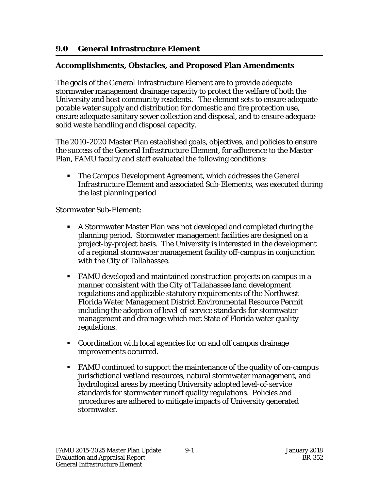## **9.0 General Infrastructure Element**

### j **Accomplishments, Obstacles, and Proposed Plan Amendments**

The goals of the General Infrastructure Element are to provide adequate stormwater management drainage capacity to protect the welfare of both the University and host community residents. The element sets to ensure adequate potable water supply and distribution for domestic and fire protection use, ensure adequate sanitary sewer collection and disposal, and to ensure adequate solid waste handling and disposal capacity.

The 2010-2020 Master Plan established goals, objectives, and policies to ensure the success of the General Infrastructure Element, for adherence to the Master Plan, FAMU faculty and staff evaluated the following conditions:

 The Campus Development Agreement, which addresses the General Infrastructure Element and associated Sub-Elements, was executed during the last planning period

Stormwater Sub-Element:

- A Stormwater Master Plan was not developed and completed during the planning period. Stormwater management facilities are designed on a project-by-project basis. The University is interested in the development of a regional stormwater management facility off-campus in conjunction with the City of Tallahassee.
- FAMU developed and maintained construction projects on campus in a manner consistent with the City of Tallahassee land development regulations and applicable statutory requirements of the Northwest Florida Water Management District Environmental Resource Permit including the adoption of level-of-service standards for stormwater management and drainage which met State of Florida water quality regulations.
- Coordination with local agencies for on and off campus drainage improvements occurred.
- FAMU continued to support the maintenance of the quality of on-campus jurisdictional wetland resources, natural stormwater management, and hydrological areas by meeting University adopted level-of-service standards for stormwater runoff quality regulations. Policies and procedures are adhered to mitigate impacts of University generated stormwater.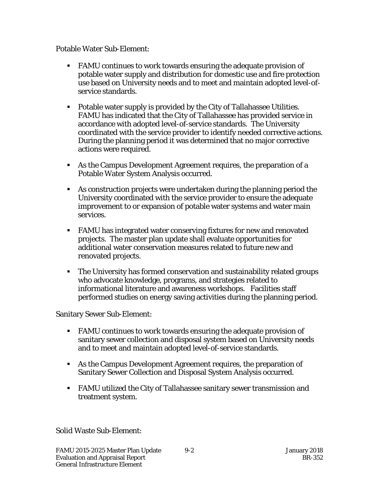Potable Water Sub-Element:

- FAMU continues to work towards ensuring the adequate provision of potable water supply and distribution for domestic use and fire protection use based on University needs and to meet and maintain adopted level-ofservice standards.
- Potable water supply is provided by the City of Tallahassee Utilities. FAMU has indicated that the City of Tallahassee has provided service in accordance with adopted level-of-service standards. The University coordinated with the service provider to identify needed corrective actions. During the planning period it was determined that no major corrective actions were required.
- As the Campus Development Agreement requires, the preparation of a Potable Water System Analysis occurred.
- As construction projects were undertaken during the planning period the University coordinated with the service provider to ensure the adequate improvement to or expansion of potable water systems and water main services.
- FAMU has integrated water conserving fixtures for new and renovated projects. The master plan update shall evaluate opportunities for additional water conservation measures related to future new and renovated projects.
- The University has formed conservation and sustainability related groups who advocate knowledge, programs, and strategies related to informational literature and awareness workshops. Facilities staff performed studies on energy saving activities during the planning period.

Sanitary Sewer Sub-Element:

- FAMU continues to work towards ensuring the adequate provision of sanitary sewer collection and disposal system based on University needs and to meet and maintain adopted level-of-service standards.
- As the Campus Development Agreement requires, the preparation of Sanitary Sewer Collection and Disposal System Analysis occurred.
- FAMU utilized the City of Tallahassee sanitary sewer transmission and treatment system.

Solid Waste Sub-Element: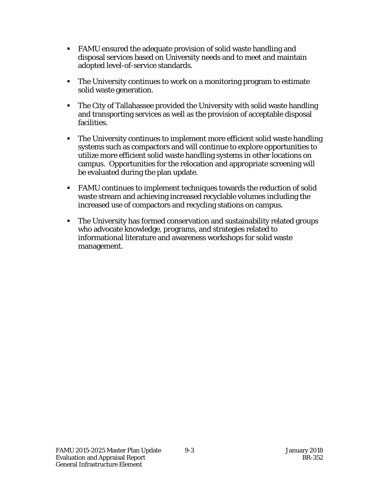- FAMU ensured the adequate provision of solid waste handling and disposal services based on University needs and to meet and maintain adopted level-of-service standards.
- The University continues to work on a monitoring program to estimate solid waste generation.
- The City of Tallahassee provided the University with solid waste handling and transporting services as well as the provision of acceptable disposal facilities.
- The University continues to implement more efficient solid waste handling systems such as compactors and will continue to explore opportunities to utilize more efficient solid waste handling systems in other locations on campus. Opportunities for the relocation and appropriate screening will be evaluated during the plan update.
- FAMU continues to implement techniques towards the reduction of solid waste stream and achieving increased recyclable volumes including the increased use of compactors and recycling stations on campus.
- The University has formed conservation and sustainability related groups who advocate knowledge, programs, and strategies related to informational literature and awareness workshops for solid waste management.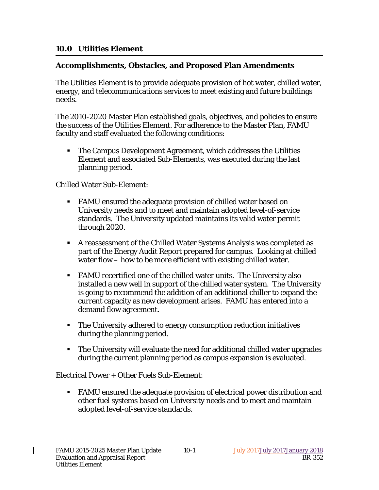### **10.0 Utilities Element**

### j **Accomplishments, Obstacles, and Proposed Plan Amendments**

The Utilities Element is to provide adequate provision of hot water, chilled water, energy, and telecommunications services to meet existing and future buildings needs.

The 2010-2020 Master Plan established goals, objectives, and policies to ensure the success of the Utilities Element. For adherence to the Master Plan, FAMU faculty and staff evaluated the following conditions:

 The Campus Development Agreement, which addresses the Utilities Element and associated Sub-Elements, was executed during the last planning period.

Chilled Water Sub-Element:

- FAMU ensured the adequate provision of chilled water based on University needs and to meet and maintain adopted level-of-service standards. The University updated maintains its valid water permit through 2020.
- A reassessment of the Chilled Water Systems Analysis was completed as part of the Energy Audit Report prepared for campus. Looking at chilled water flow – how to be more efficient with existing chilled water.
- FAMU recertified one of the chilled water units. The University also installed a new well in support of the chilled water system. The University is going to recommend the addition of an additional chiller to expand the current capacity as new development arises. FAMU has entered into a demand flow agreement.
- The University adhered to energy consumption reduction initiatives during the planning period.
- The University will evaluate the need for additional chilled water upgrades during the current planning period as campus expansion is evaluated.

Electrical Power + Other Fuels Sub-Element:

 FAMU ensured the adequate provision of electrical power distribution and other fuel systems based on University needs and to meet and maintain adopted level-of-service standards.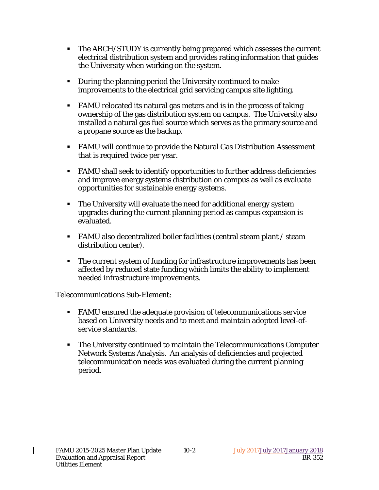- The ARCH/STUDY is currently being prepared which assesses the current electrical distribution system and provides rating information that guides the University when working on the system.
- During the planning period the University continued to make improvements to the electrical grid servicing campus site lighting.
- FAMU relocated its natural gas meters and is in the process of taking ownership of the gas distribution system on campus. The University also installed a natural gas fuel source which serves as the primary source and a propane source as the backup.
- FAMU will continue to provide the Natural Gas Distribution Assessment that is required twice per year.
- FAMU shall seek to identify opportunities to further address deficiencies and improve energy systems distribution on campus as well as evaluate opportunities for sustainable energy systems.
- The University will evaluate the need for additional energy system upgrades during the current planning period as campus expansion is evaluated.
- FAMU also decentralized boiler facilities (central steam plant / steam distribution center).
- The current system of funding for infrastructure improvements has been affected by reduced state funding which limits the ability to implement needed infrastructure improvements.

Telecommunications Sub-Element:

- FAMU ensured the adequate provision of telecommunications service based on University needs and to meet and maintain adopted level-ofservice standards.
- The University continued to maintain the Telecommunications Computer Network Systems Analysis. An analysis of deficiencies and projected telecommunication needs was evaluated during the current planning period.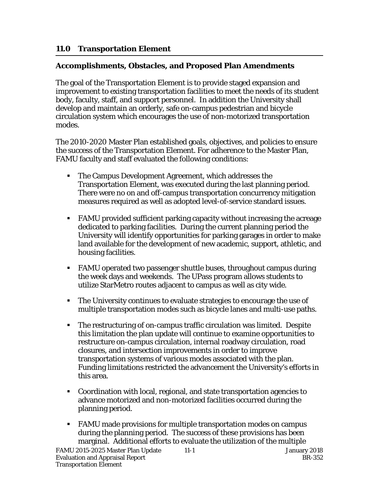## **11.0 Transportation Element**

### j **Accomplishments, Obstacles, and Proposed Plan Amendments**

The goal of the Transportation Element is to provide staged expansion and improvement to existing transportation facilities to meet the needs of its student body, faculty, staff, and support personnel. In addition the University shall develop and maintain an orderly, safe on-campus pedestrian and bicycle circulation system which encourages the use of non-motorized transportation modes.

The 2010-2020 Master Plan established goals, objectives, and policies to ensure the success of the Transportation Element. For adherence to the Master Plan, FAMU faculty and staff evaluated the following conditions:

- The Campus Development Agreement, which addresses the Transportation Element, was executed during the last planning period. There were no on and off-campus transportation concurrency mitigation measures required as well as adopted level-of-service standard issues.
- FAMU provided sufficient parking capacity without increasing the acreage dedicated to parking facilities. During the current planning period the University will identify opportunities for parking garages in order to make land available for the development of new academic, support, athletic, and housing facilities.
- FAMU operated two passenger shuttle buses, throughout campus during the week days and weekends. The UPass program allows students to utilize StarMetro routes adjacent to campus as well as city wide.
- The University continues to evaluate strategies to encourage the use of multiple transportation modes such as bicycle lanes and multi-use paths.
- The restructuring of on-campus traffic circulation was limited. Despite this limitation the plan update will continue to examine opportunities to restructure on-campus circulation, internal roadway circulation, road closures, and intersection improvements in order to improve transportation systems of various modes associated with the plan. Funding limitations restricted the advancement the University's efforts in this area.
- Coordination with local, regional, and state transportation agencies to advance motorized and non-motorized facilities occurred during the planning period.
- FAMU made provisions for multiple transportation modes on campus during the planning period. The success of these provisions has been marginal. Additional efforts to evaluate the utilization of the multiple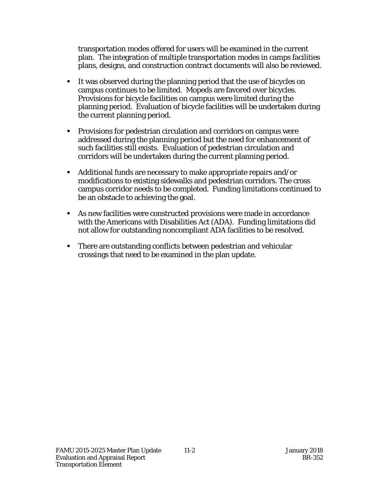transportation modes offered for users will be examined in the current plan. The integration of multiple transportation modes in camps facilities plans, designs, and construction contract documents will also be reviewed.

- It was observed during the planning period that the use of bicycles on campus continues to be limited. Mopeds are favored over bicycles. Provisions for bicycle facilities on campus were limited during the planning period. Evaluation of bicycle facilities will be undertaken during the current planning period.
- Provisions for pedestrian circulation and corridors on campus were addressed during the planning period but the need for enhancement of such facilities still exists. Evaluation of pedestrian circulation and corridors will be undertaken during the current planning period.
- Additional funds are necessary to make appropriate repairs and/or modifications to existing sidewalks and pedestrian corridors. The cross campus corridor needs to be completed. Funding limitations continued to be an obstacle to achieving the goal.
- As new facilities were constructed provisions were made in accordance with the Americans with Disabilities Act (ADA). Funding limitations did not allow for outstanding noncompliant ADA facilities to be resolved.
- There are outstanding conflicts between pedestrian and vehicular crossings that need to be examined in the plan update.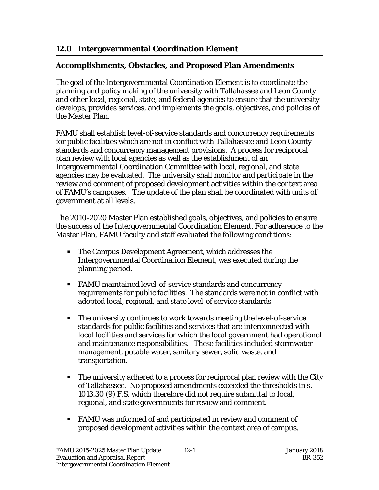# **12.0 Intergovernmental Coordination Element**

### j **Accomplishments, Obstacles, and Proposed Plan Amendments**

The goal of the Intergovernmental Coordination Element is to coordinate the planning and policy making of the university with Tallahassee and Leon County and other local, regional, state, and federal agencies to ensure that the university develops, provides services, and implements the goals, objectives, and policies of the Master Plan.

FAMU shall establish level-of-service standards and concurrency requirements for public facilities which are not in conflict with Tallahassee and Leon County standards and concurrency management provisions. A process for reciprocal plan review with local agencies as well as the establishment of an Intergovernmental Coordination Committee with local, regional, and state agencies may be evaluated. The university shall monitor and participate in the review and comment of proposed development activities within the context area of FAMU's campuses. The update of the plan shall be coordinated with units of government at all levels.

The 2010-2020 Master Plan established goals, objectives, and policies to ensure the success of the Intergovernmental Coordination Element. For adherence to the Master Plan, FAMU faculty and staff evaluated the following conditions:

- The Campus Development Agreement, which addresses the Intergovernmental Coordination Element, was executed during the planning period.
- FAMU maintained level-of-service standards and concurrency requirements for public facilities. The standards were not in conflict with adopted local, regional, and state level-of service standards.
- The university continues to work towards meeting the level-of-service standards for public facilities and services that are interconnected with local facilities and services for which the local government had operational and maintenance responsibilities. These facilities included stormwater management, potable water, sanitary sewer, solid waste, and transportation.
- **The university adhered to a process for reciprocal plan review with the City** of Tallahassee. No proposed amendments exceeded the thresholds in s. 1013.30 (9) F.S. which therefore did not require submittal to local, regional, and state governments for review and comment.
- FAMU was informed of and participated in review and comment of proposed development activities within the context area of campus.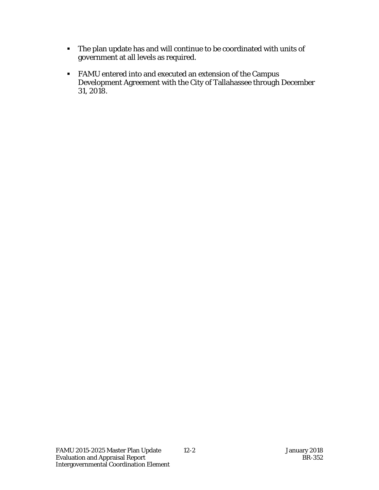- The plan update has and will continue to be coordinated with units of government at all levels as required.
- FAMU entered into and executed an extension of the Campus Development Agreement with the City of Tallahassee through December 31, 2018.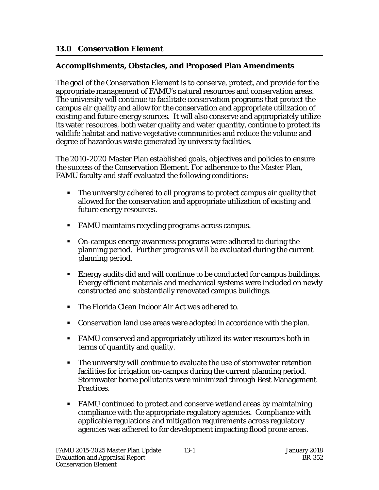## **13.0 Conservation Element**

### j **Accomplishments, Obstacles, and Proposed Plan Amendments**

The goal of the Conservation Element is to conserve, protect, and provide for the appropriate management of FAMU's natural resources and conservation areas. The university will continue to facilitate conservation programs that protect the campus air quality and allow for the conservation and appropriate utilization of existing and future energy sources. It will also conserve and appropriately utilize its water resources, both water quality and water quantity, continue to protect its wildlife habitat and native vegetative communities and reduce the volume and degree of hazardous waste generated by university facilities.

The 2010-2020 Master Plan established goals, objectives and policies to ensure the success of the Conservation Element. For adherence to the Master Plan, FAMU faculty and staff evaluated the following conditions:

- The university adhered to all programs to protect campus air quality that allowed for the conservation and appropriate utilization of existing and future energy resources.
- FAMU maintains recycling programs across campus.
- On-campus energy awareness programs were adhered to during the planning period. Further programs will be evaluated during the current planning period.
- Energy audits did and will continue to be conducted for campus buildings. Energy efficient materials and mechanical systems were included on newly constructed and substantially renovated campus buildings.
- The Florida Clean Indoor Air Act was adhered to.
- Conservation land use areas were adopted in accordance with the plan.
- FAMU conserved and appropriately utilized its water resources both in terms of quantity and quality.
- The university will continue to evaluate the use of stormwater retention facilities for irrigation on-campus during the current planning period. Stormwater borne pollutants were minimized through Best Management Practices.
- FAMU continued to protect and conserve wetland areas by maintaining compliance with the appropriate regulatory agencies. Compliance with applicable regulations and mitigation requirements across regulatory agencies was adhered to for development impacting flood prone areas.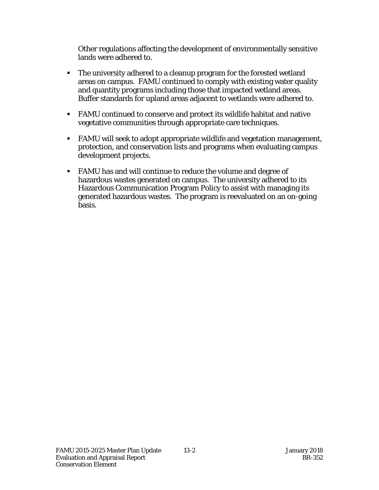Other regulations affecting the development of environmentally sensitive lands were adhered to.

- The university adhered to a cleanup program for the forested wetland areas on campus. FAMU continued to comply with existing water quality and quantity programs including those that impacted wetland areas. Buffer standards for upland areas adjacent to wetlands were adhered to.
- FAMU continued to conserve and protect its wildlife habitat and native vegetative communities through appropriate care techniques.
- FAMU will seek to adopt appropriate wildlife and vegetation management, protection, and conservation lists and programs when evaluating campus development projects.
- FAMU has and will continue to reduce the volume and degree of hazardous wastes generated on campus. The university adhered to its Hazardous Communication Program Policy to assist with managing its generated hazardous wastes. The program is reevaluated on an on-going basis.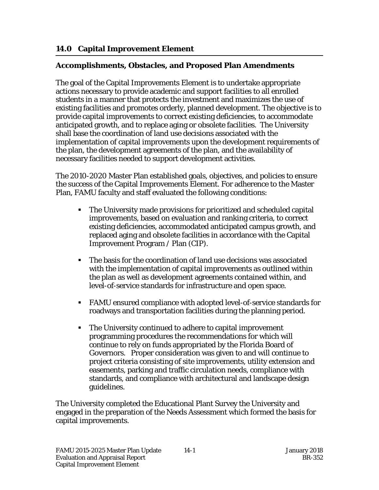## **14.0 Capital Improvement Element**

### j **Accomplishments, Obstacles, and Proposed Plan Amendments**

The goal of the Capital Improvements Element is to undertake appropriate actions necessary to provide academic and support facilities to all enrolled students in a manner that protects the investment and maximizes the use of existing facilities and promotes orderly, planned development. The objective is to provide capital improvements to correct existing deficiencies, to accommodate anticipated growth, and to replace aging or obsolete facilities. The University shall base the coordination of land use decisions associated with the implementation of capital improvements upon the development requirements of the plan, the development agreements of the plan, and the availability of necessary facilities needed to support development activities.

The 2010-2020 Master Plan established goals, objectives, and policies to ensure the success of the Capital Improvements Element. For adherence to the Master Plan, FAMU faculty and staff evaluated the following conditions:

- The University made provisions for prioritized and scheduled capital improvements, based on evaluation and ranking criteria, to correct existing deficiencies, accommodated anticipated campus growth, and replaced aging and obsolete facilities in accordance with the Capital Improvement Program / Plan (CIP).
- The basis for the coordination of land use decisions was associated with the implementation of capital improvements as outlined within the plan as well as development agreements contained within, and level-of-service standards for infrastructure and open space.
- FAMU ensured compliance with adopted level-of-service standards for roadways and transportation facilities during the planning period.
- The University continued to adhere to capital improvement programming procedures the recommendations for which will continue to rely on funds appropriated by the Florida Board of Governors. Proper consideration was given to and will continue to project criteria consisting of site improvements, utility extension and easements, parking and traffic circulation needs, compliance with standards, and compliance with architectural and landscape design guidelines.

The University completed the Educational Plant Survey the University and engaged in the preparation of the Needs Assessment which formed the basis for capital improvements.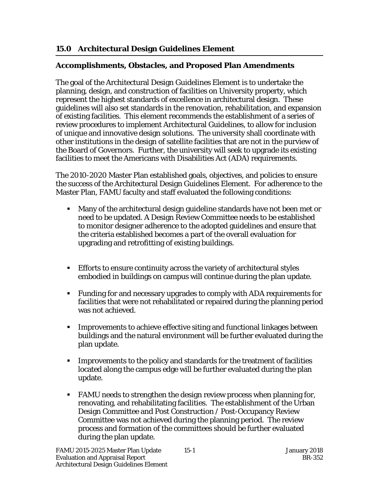## **15.0 Architectural Design Guidelines Element**

### j **Accomplishments, Obstacles, and Proposed Plan Amendments**

The goal of the Architectural Design Guidelines Element is to undertake the planning, design, and construction of facilities on University property, which represent the highest standards of excellence in architectural design. These guidelines will also set standards in the renovation, rehabilitation, and expansion of existing facilities. This element recommends the establishment of a series of review procedures to implement Architectural Guidelines, to allow for inclusion of unique and innovative design solutions. The university shall coordinate with other institutions in the design of satellite facilities that are not in the purview of the Board of Governors. Further, the university will seek to upgrade its existing facilities to meet the Americans with Disabilities Act (ADA) requirements.

The 2010-2020 Master Plan established goals, objectives, and policies to ensure the success of the Architectural Design Guidelines Element. For adherence to the Master Plan, FAMU faculty and staff evaluated the following conditions:

- Many of the architectural design guideline standards have not been met or need to be updated. A Design Review Committee needs to be established to monitor designer adherence to the adopted guidelines and ensure that the criteria established becomes a part of the overall evaluation for upgrading and retrofitting of existing buildings.
- Efforts to ensure continuity across the variety of architectural styles embodied in buildings on campus will continue during the plan update.
- Funding for and necessary upgrades to comply with ADA requirements for facilities that were not rehabilitated or repaired during the planning period was not achieved.
- Improvements to achieve effective siting and functional linkages between buildings and the natural environment will be further evaluated during the plan update.
- Improvements to the policy and standards for the treatment of facilities located along the campus edge will be further evaluated during the plan update.
- FAMU needs to strengthen the design review process when planning for, renovating, and rehabilitating facilities. The establishment of the Urban Design Committee and Post Construction / Post-Occupancy Review Committee was not achieved during the planning period. The review process and formation of the committees should be further evaluated during the plan update.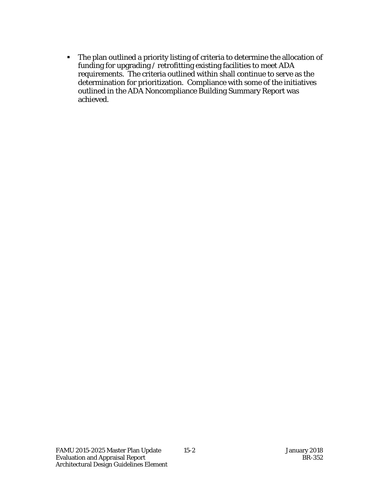The plan outlined a priority listing of criteria to determine the allocation of funding for upgrading / retrofitting existing facilities to meet ADA requirements. The criteria outlined within shall continue to serve as the determination for prioritization. Compliance with some of the initiatives outlined in the ADA Noncompliance Building Summary Report was achieved.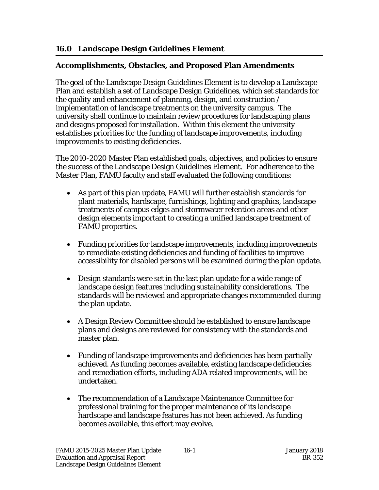## **16.0 Landscape Design Guidelines Element**

### j **Accomplishments, Obstacles, and Proposed Plan Amendments**

The goal of the Landscape Design Guidelines Element is to develop a Landscape Plan and establish a set of Landscape Design Guidelines, which set standards for the quality and enhancement of planning, design, and construction / implementation of landscape treatments on the university campus. The university shall continue to maintain review procedures for landscaping plans and designs proposed for installation. Within this element the university establishes priorities for the funding of landscape improvements, including improvements to existing deficiencies.

The 2010-2020 Master Plan established goals, objectives, and policies to ensure the success of the Landscape Design Guidelines Element. For adherence to the Master Plan, FAMU faculty and staff evaluated the following conditions:

- As part of this plan update, FAMU will further establish standards for plant materials, hardscape, furnishings, lighting and graphics, landscape treatments of campus edges and stormwater retention areas and other design elements important to creating a unified landscape treatment of FAMU properties.
- Funding priorities for landscape improvements, including improvements to remediate existing deficiencies and funding of facilities to improve accessibility for disabled persons will be examined during the plan update.
- Design standards were set in the last plan update for a wide range of landscape design features including sustainability considerations. The standards will be reviewed and appropriate changes recommended during the plan update.
- A Design Review Committee should be established to ensure landscape plans and designs are reviewed for consistency with the standards and master plan.
- Funding of landscape improvements and deficiencies has been partially achieved. As funding becomes available, existing landscape deficiencies and remediation efforts, including ADA related improvements, will be undertaken.
- The recommendation of a Landscape Maintenance Committee for professional training for the proper maintenance of its landscape hardscape and landscape features has not been achieved. As funding becomes available, this effort may evolve.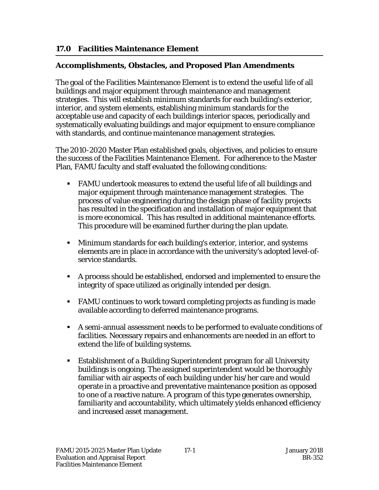### **17.0 Facilities Maintenance Element**

#### j **Accomplishments, Obstacles, and Proposed Plan Amendments**

The goal of the Facilities Maintenance Element is to extend the useful life of all buildings and major equipment through maintenance and management strategies. This will establish minimum standards for each building's exterior, interior, and system elements, establishing minimum standards for the acceptable use and capacity of each buildings interior spaces, periodically and systematically evaluating buildings and major equipment to ensure compliance with standards, and continue maintenance management strategies.

The 2010-2020 Master Plan established goals, objectives, and policies to ensure the success of the Facilities Maintenance Element. For adherence to the Master Plan, FAMU faculty and staff evaluated the following conditions:

- FAMU undertook measures to extend the useful life of all buildings and major equipment through maintenance management strategies. The process of value engineering during the design phase of facility projects has resulted in the specification and installation of major equipment that is more economical. This has resulted in additional maintenance efforts. This procedure will be examined further during the plan update.
- Minimum standards for each building's exterior, interior, and systems elements are in place in accordance with the university's adopted level-ofservice standards.
- A process should be established, endorsed and implemented to ensure the integrity of space utilized as originally intended per design.
- FAMU continues to work toward completing projects as funding is made available according to deferred maintenance programs.
- A semi-annual assessment needs to be performed to evaluate conditions of facilities. Necessary repairs and enhancements are needed in an effort to extend the life of building systems.
- Establishment of a Building Superintendent program for all University buildings is ongoing. The assigned superintendent would be thoroughly familiar with air aspects of each building under his/her care and would operate in a proactive and preventative maintenance position as opposed to one of a reactive nature. A program of this type generates ownership, familiarity and accountability, which ultimately yields enhanced efficiency and increased asset management.